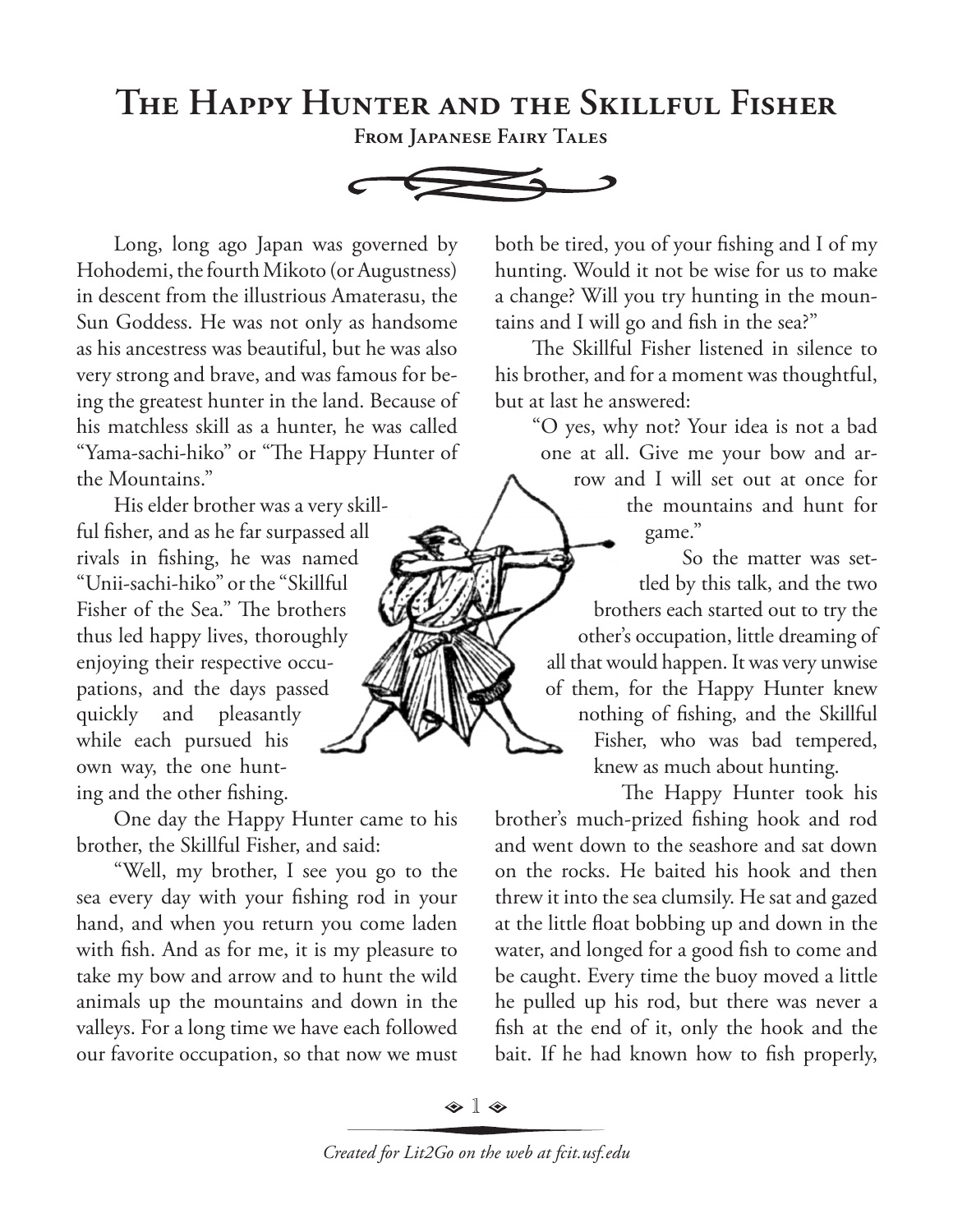## **The Happy Hunter and the Skillful Fisher**

**From Japanese Fairy Tales**



Long, long ago Japan was governed by Hohodemi, the fourth Mikoto (or Augustness) in descent from the illustrious Amaterasu, the Sun Goddess. He was not only as handsome as his ancestress was beautiful, but he was also very strong and brave, and was famous for being the greatest hunter in the land. Because of his matchless skill as a hunter, he was called "Yama-sachi-hiko" or "The Happy Hunter of the Mountains."

His elder brother was a very skillful fisher, and as he far surpassed all rivals in fishing, he was named "Unii-sachi-hiko" or the "Skillful Fisher of the Sea." The brothers thus led happy lives, thoroughly enjoying their respective occupations, and the days passed quickly and pleasantly while each pursued his own way, the one hunting and the other fishing.

One day the Happy Hunter came to his brother, the Skillful Fisher, and said:

"Well, my brother, I see you go to the sea every day with your fishing rod in your hand, and when you return you come laden with fish. And as for me, it is my pleasure to take my bow and arrow and to hunt the wild animals up the mountains and down in the valleys. For a long time we have each followed our favorite occupation, so that now we must

both be tired, you of your fishing and I of my hunting. Would it not be wise for us to make a change? Will you try hunting in the mountains and I will go and fish in the sea?"

The Skillful Fisher listened in silence to his brother, and for a moment was thoughtful, but at last he answered:

"O yes, why not? Your idea is not a bad one at all. Give me your bow and arrow and I will set out at once for

the mountains and hunt for game."

So the matter was settled by this talk, and the two brothers each started out to try the other's occupation, little dreaming of all that would happen. It was very unwise of them, for the Happy Hunter knew nothing of fishing, and the Skillful Fisher, who was bad tempered, knew as much about hunting.

The Happy Hunter took his brother's much-prized fishing hook and rod and went down to the seashore and sat down on the rocks. He baited his hook and then threw it into the sea clumsily. He sat and gazed at the little float bobbing up and down in the water, and longed for a good fish to come and be caught. Every time the buoy moved a little he pulled up his rod, but there was never a fish at the end of it, only the hook and the bait. If he had known how to fish properly,

 $\textcolor{red}{\bm{\hat{\diamond}}}\; \textcolor{red}{\bm{\hat{\triangledown}}}\; \textcolor{red}{\bm{\hat{\diamond}}}\;$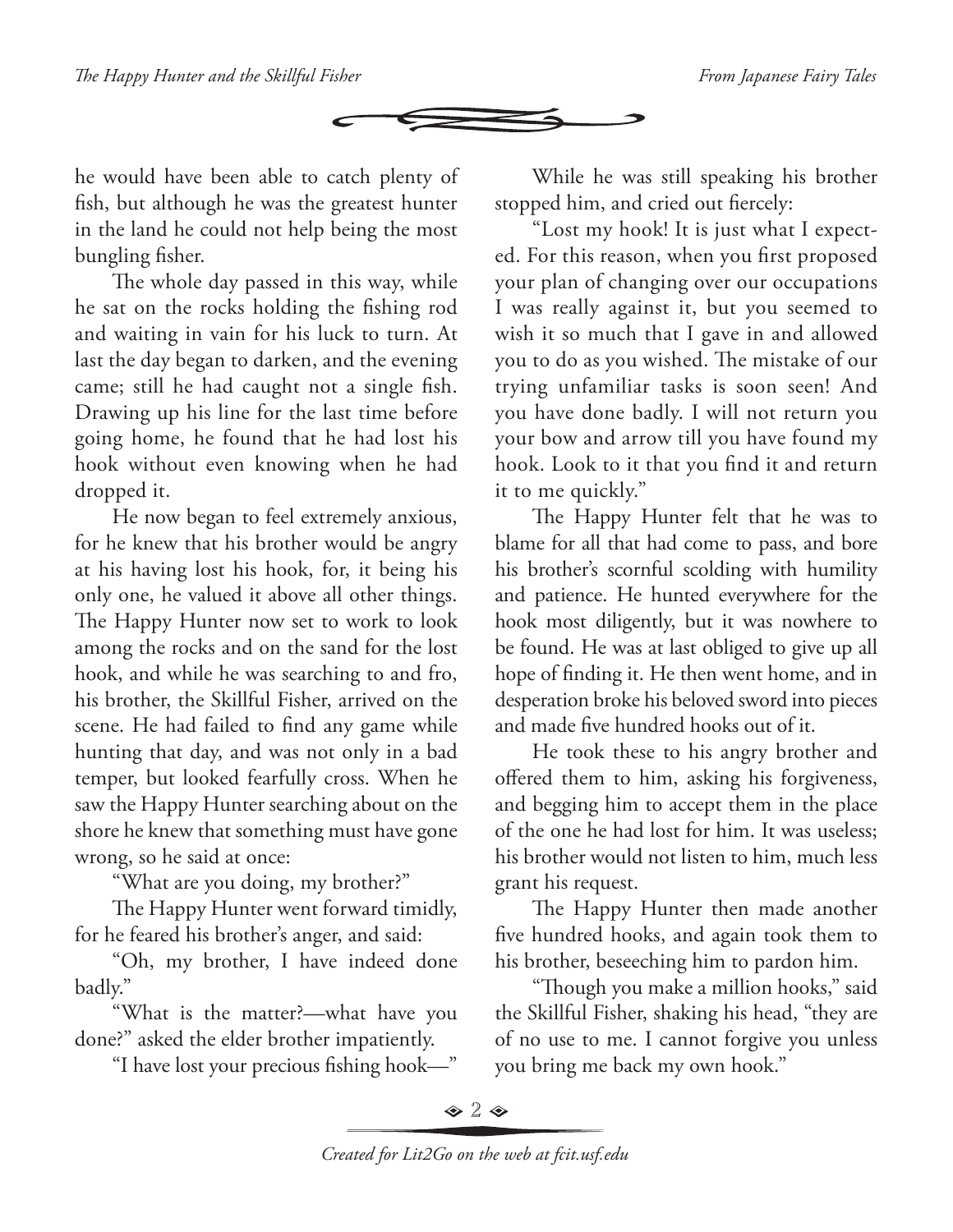

he would have been able to catch plenty of fish, but although he was the greatest hunter in the land he could not help being the most bungling fisher.

The whole day passed in this way, while he sat on the rocks holding the fishing rod and waiting in vain for his luck to turn. At last the day began to darken, and the evening came; still he had caught not a single fish. Drawing up his line for the last time before going home, he found that he had lost his hook without even knowing when he had dropped it.

He now began to feel extremely anxious, for he knew that his brother would be angry at his having lost his hook, for, it being his only one, he valued it above all other things. The Happy Hunter now set to work to look among the rocks and on the sand for the lost hook, and while he was searching to and fro, his brother, the Skillful Fisher, arrived on the scene. He had failed to find any game while hunting that day, and was not only in a bad temper, but looked fearfully cross. When he saw the Happy Hunter searching about on the shore he knew that something must have gone wrong, so he said at once:

"What are you doing, my brother?"

The Happy Hunter went forward timidly, for he feared his brother's anger, and said:

"Oh, my brother, I have indeed done badly."

"What is the matter?—what have you done?" asked the elder brother impatiently.

"I have lost your precious fishing hook—"

While he was still speaking his brother stopped him, and cried out fiercely:

"Lost my hook! It is just what I expected. For this reason, when you first proposed your plan of changing over our occupations I was really against it, but you seemed to wish it so much that I gave in and allowed you to do as you wished. The mistake of our trying unfamiliar tasks is soon seen! And you have done badly. I will not return you your bow and arrow till you have found my hook. Look to it that you find it and return it to me quickly."

The Happy Hunter felt that he was to blame for all that had come to pass, and bore his brother's scornful scolding with humility and patience. He hunted everywhere for the hook most diligently, but it was nowhere to be found. He was at last obliged to give up all hope of finding it. He then went home, and in desperation broke his beloved sword into pieces and made five hundred hooks out of it.

He took these to his angry brother and offered them to him, asking his forgiveness, and begging him to accept them in the place of the one he had lost for him. It was useless; his brother would not listen to him, much less grant his request.

The Happy Hunter then made another five hundred hooks, and again took them to his brother, beseeching him to pardon him.

"Though you make a million hooks," said the Skillful Fisher, shaking his head, "they are of no use to me. I cannot forgive you unless you bring me back my own hook."

 $\bullet$  2  $\bullet$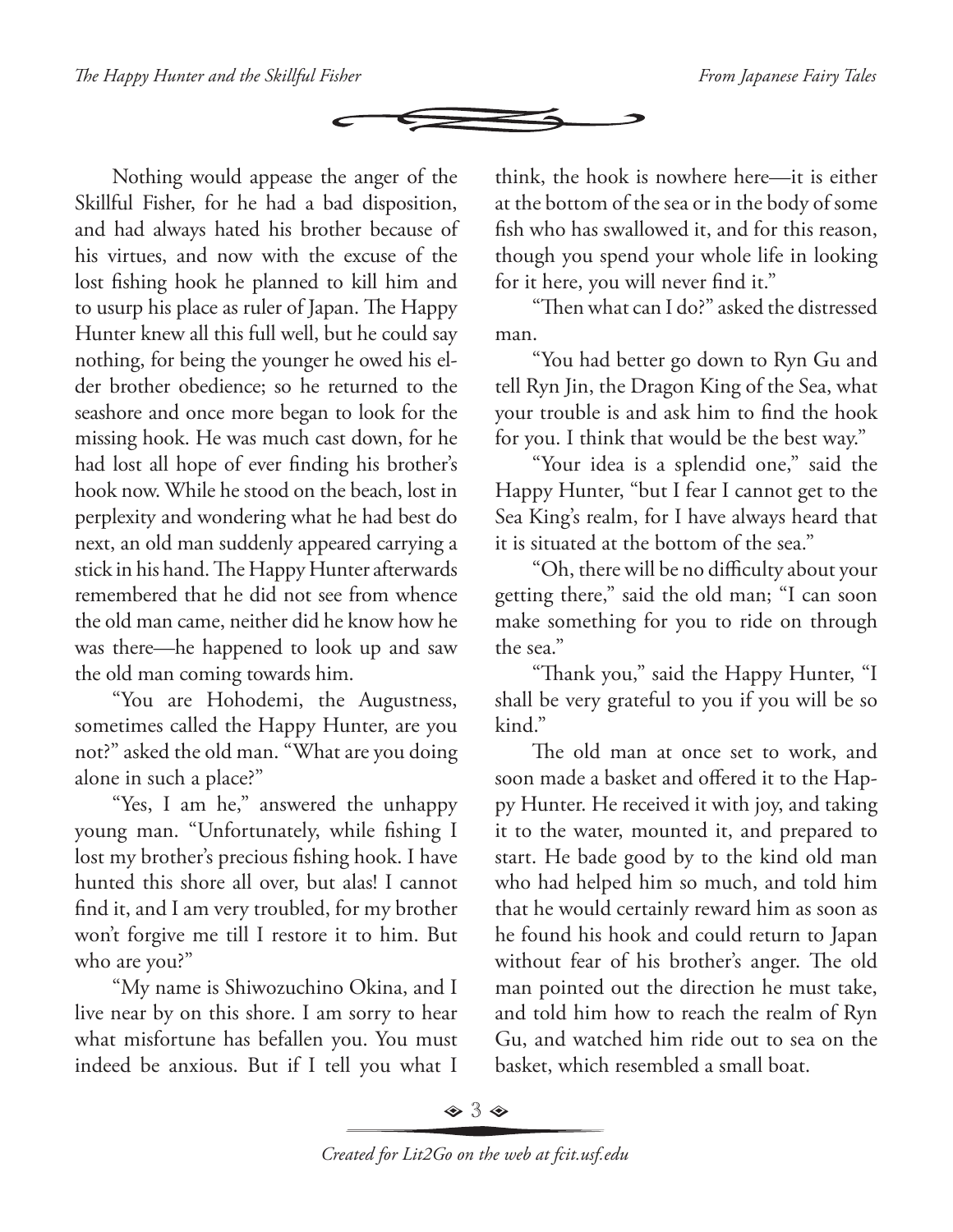

Nothing would appease the anger of the Skillful Fisher, for he had a bad disposition, and had always hated his brother because of his virtues, and now with the excuse of the lost fishing hook he planned to kill him and to usurp his place as ruler of Japan. The Happy Hunter knew all this full well, but he could say nothing, for being the younger he owed his elder brother obedience; so he returned to the seashore and once more began to look for the missing hook. He was much cast down, for he had lost all hope of ever finding his brother's hook now. While he stood on the beach, lost in perplexity and wondering what he had best do next, an old man suddenly appeared carrying a stick in his hand. The Happy Hunter afterwards remembered that he did not see from whence the old man came, neither did he know how he was there—he happened to look up and saw the old man coming towards him.

"You are Hohodemi, the Augustness, sometimes called the Happy Hunter, are you not?" asked the old man. "What are you doing alone in such a place?"

"Yes, I am he," answered the unhappy young man. "Unfortunately, while fishing I lost my brother's precious fishing hook. I have hunted this shore all over, but alas! I cannot find it, and I am very troubled, for my brother won't forgive me till I restore it to him. But who are you?"

"My name is Shiwozuchino Okina, and I live near by on this shore. I am sorry to hear what misfortune has befallen you. You must indeed be anxious. But if I tell you what I

think, the hook is nowhere here—it is either at the bottom of the sea or in the body of some fish who has swallowed it, and for this reason, though you spend your whole life in looking for it here, you will never find it."

"Then what can I do?" asked the distressed man.

"You had better go down to Ryn Gu and tell Ryn Jin, the Dragon King of the Sea, what your trouble is and ask him to find the hook for you. I think that would be the best way."

"Your idea is a splendid one," said the Happy Hunter, "but I fear I cannot get to the Sea King's realm, for I have always heard that it is situated at the bottom of the sea."

"Oh, there will be no difficulty about your getting there," said the old man; "I can soon make something for you to ride on through the sea."

"Thank you," said the Happy Hunter, "I shall be very grateful to you if you will be so kind."

The old man at once set to work, and soon made a basket and offered it to the Happy Hunter. He received it with joy, and taking it to the water, mounted it, and prepared to start. He bade good by to the kind old man who had helped him so much, and told him that he would certainly reward him as soon as he found his hook and could return to Japan without fear of his brother's anger. The old man pointed out the direction he must take, and told him how to reach the realm of Ryn Gu, and watched him ride out to sea on the basket, which resembled a small boat.

 $\Leftrightarrow$  3  $\Leftrightarrow$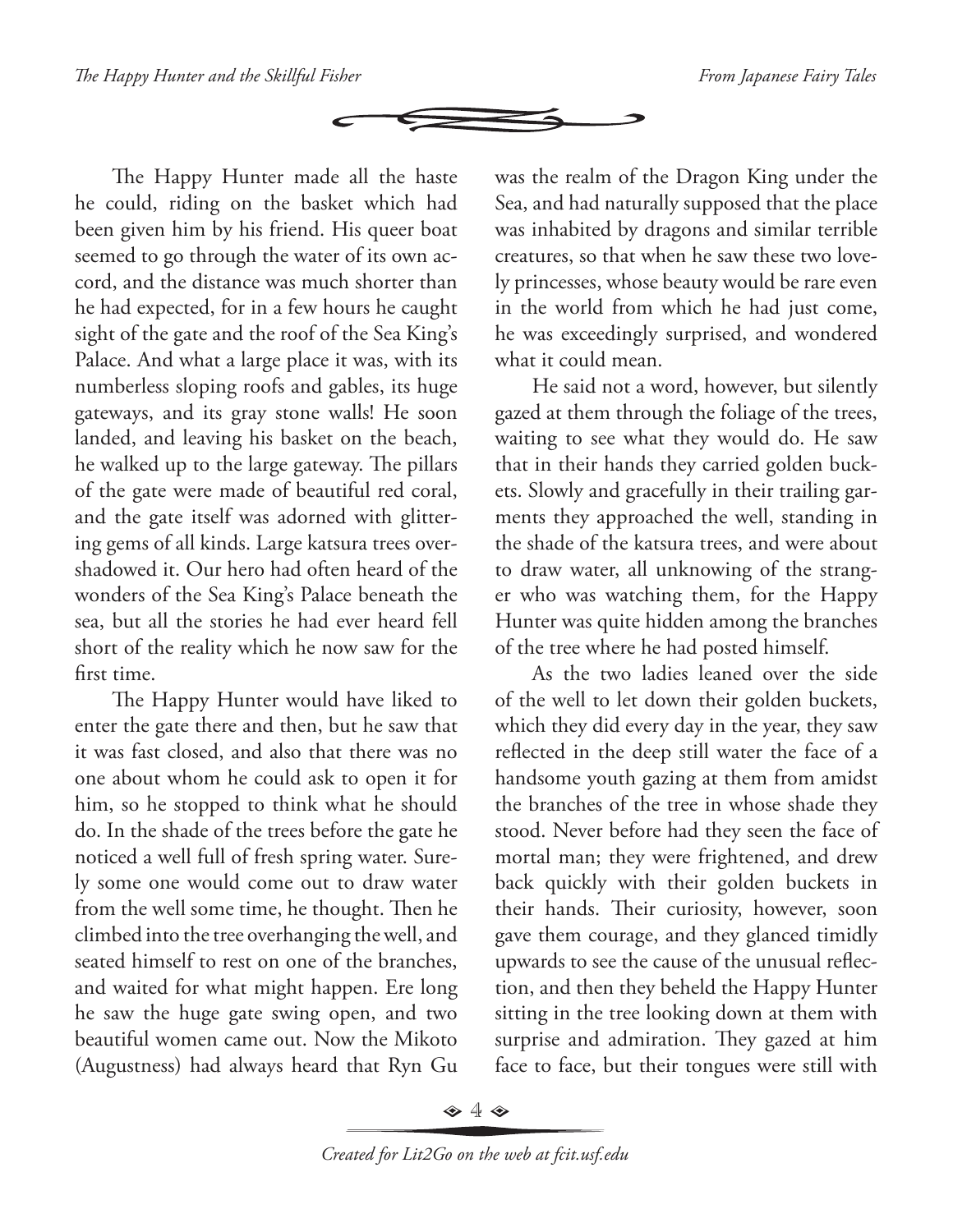

The Happy Hunter made all the haste he could, riding on the basket which had been given him by his friend. His queer boat seemed to go through the water of its own accord, and the distance was much shorter than he had expected, for in a few hours he caught sight of the gate and the roof of the Sea King's Palace. And what a large place it was, with its numberless sloping roofs and gables, its huge gateways, and its gray stone walls! He soon landed, and leaving his basket on the beach, he walked up to the large gateway. The pillars of the gate were made of beautiful red coral, and the gate itself was adorned with glittering gems of all kinds. Large katsura trees overshadowed it. Our hero had often heard of the wonders of the Sea King's Palace beneath the sea, but all the stories he had ever heard fell short of the reality which he now saw for the first time.

The Happy Hunter would have liked to enter the gate there and then, but he saw that it was fast closed, and also that there was no one about whom he could ask to open it for him, so he stopped to think what he should do. In the shade of the trees before the gate he noticed a well full of fresh spring water. Surely some one would come out to draw water from the well some time, he thought. Then he climbed into the tree overhanging the well, and seated himself to rest on one of the branches, and waited for what might happen. Ere long he saw the huge gate swing open, and two beautiful women came out. Now the Mikoto (Augustness) had always heard that Ryn Gu

was the realm of the Dragon King under the Sea, and had naturally supposed that the place was inhabited by dragons and similar terrible creatures, so that when he saw these two lovely princesses, whose beauty would be rare even in the world from which he had just come, he was exceedingly surprised, and wondered what it could mean.

He said not a word, however, but silently gazed at them through the foliage of the trees, waiting to see what they would do. He saw that in their hands they carried golden buckets. Slowly and gracefully in their trailing garments they approached the well, standing in the shade of the katsura trees, and were about to draw water, all unknowing of the stranger who was watching them, for the Happy Hunter was quite hidden among the branches of the tree where he had posted himself.

As the two ladies leaned over the side of the well to let down their golden buckets, which they did every day in the year, they saw reflected in the deep still water the face of a handsome youth gazing at them from amidst the branches of the tree in whose shade they stood. Never before had they seen the face of mortal man; they were frightened, and drew back quickly with their golden buckets in their hands. Their curiosity, however, soon gave them courage, and they glanced timidly upwards to see the cause of the unusual reflection, and then they beheld the Happy Hunter sitting in the tree looking down at them with surprise and admiration. They gazed at him face to face, but their tongues were still with

 $\Leftrightarrow$  4  $\Leftrightarrow$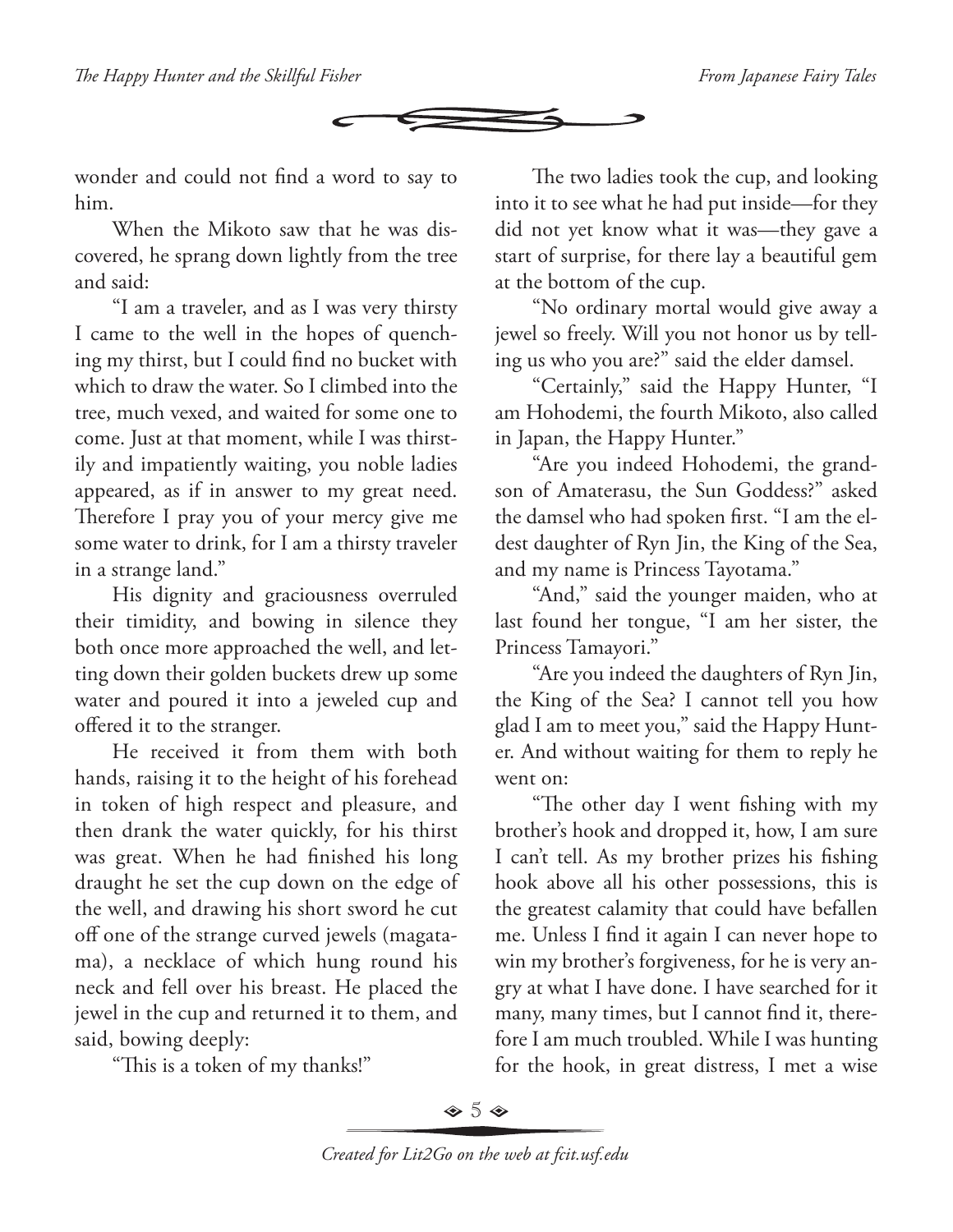

wonder and could not find a word to say to him.

When the Mikoto saw that he was discovered, he sprang down lightly from the tree and said:

"I am a traveler, and as I was very thirsty I came to the well in the hopes of quenching my thirst, but I could find no bucket with which to draw the water. So I climbed into the tree, much vexed, and waited for some one to come. Just at that moment, while I was thirstily and impatiently waiting, you noble ladies appeared, as if in answer to my great need. Therefore I pray you of your mercy give me some water to drink, for I am a thirsty traveler in a strange land."

His dignity and graciousness overruled their timidity, and bowing in silence they both once more approached the well, and letting down their golden buckets drew up some water and poured it into a jeweled cup and offered it to the stranger.

He received it from them with both hands, raising it to the height of his forehead in token of high respect and pleasure, and then drank the water quickly, for his thirst was great. When he had finished his long draught he set the cup down on the edge of the well, and drawing his short sword he cut off one of the strange curved jewels (magatama), a necklace of which hung round his neck and fell over his breast. He placed the jewel in the cup and returned it to them, and said, bowing deeply:

"This is a token of my thanks!"

The two ladies took the cup, and looking into it to see what he had put inside—for they did not yet know what it was—they gave a start of surprise, for there lay a beautiful gem at the bottom of the cup.

"No ordinary mortal would give away a jewel so freely. Will you not honor us by telling us who you are?" said the elder damsel.

"Certainly," said the Happy Hunter, "I am Hohodemi, the fourth Mikoto, also called in Japan, the Happy Hunter."

"Are you indeed Hohodemi, the grandson of Amaterasu, the Sun Goddess?" asked the damsel who had spoken first. "I am the eldest daughter of Ryn Jin, the King of the Sea, and my name is Princess Tayotama."

"And," said the younger maiden, who at last found her tongue, "I am her sister, the Princess Tamayori."

"Are you indeed the daughters of Ryn Jin, the King of the Sea? I cannot tell you how glad I am to meet you," said the Happy Hunter. And without waiting for them to reply he went on:

"The other day I went fishing with my brother's hook and dropped it, how, I am sure I can't tell. As my brother prizes his fishing hook above all his other possessions, this is the greatest calamity that could have befallen me. Unless I find it again I can never hope to win my brother's forgiveness, for he is very angry at what I have done. I have searched for it many, many times, but I cannot find it, therefore I am much troubled. While I was hunting for the hook, in great distress, I met a wise

 $\diamond$  5  $\diamond$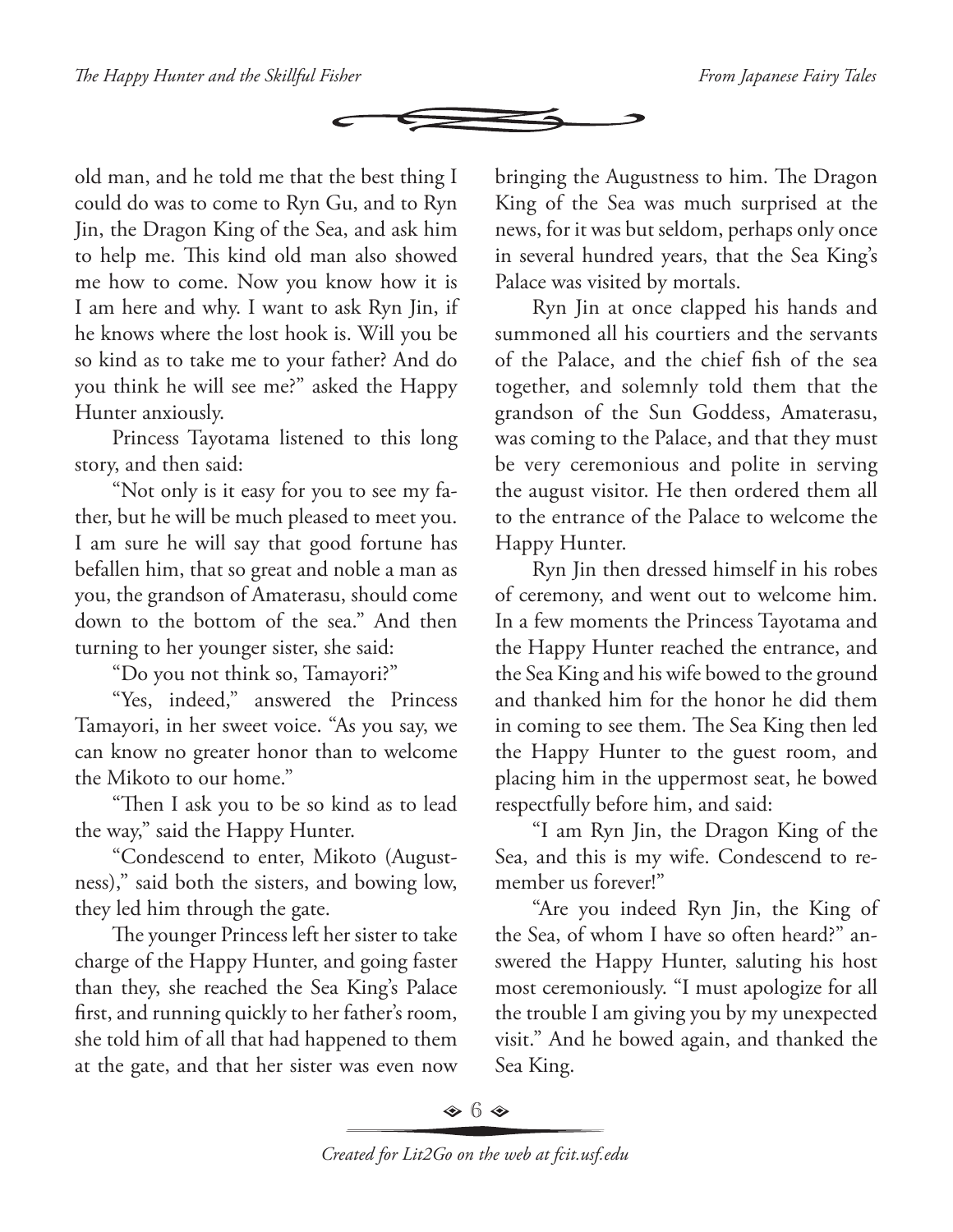

old man, and he told me that the best thing I could do was to come to Ryn Gu, and to Ryn Jin, the Dragon King of the Sea, and ask him to help me. This kind old man also showed me how to come. Now you know how it is I am here and why. I want to ask Ryn Jin, if he knows where the lost hook is. Will you be so kind as to take me to your father? And do you think he will see me?" asked the Happy Hunter anxiously.

Princess Tayotama listened to this long story, and then said:

"Not only is it easy for you to see my father, but he will be much pleased to meet you. I am sure he will say that good fortune has befallen him, that so great and noble a man as you, the grandson of Amaterasu, should come down to the bottom of the sea." And then turning to her younger sister, she said:

"Do you not think so, Tamayori?"

"Yes, indeed," answered the Princess Tamayori, in her sweet voice. "As you say, we can know no greater honor than to welcome the Mikoto to our home."

"Then I ask you to be so kind as to lead the way," said the Happy Hunter.

"Condescend to enter, Mikoto (Augustness)," said both the sisters, and bowing low, they led him through the gate.

The younger Princess left her sister to take charge of the Happy Hunter, and going faster than they, she reached the Sea King's Palace first, and running quickly to her father's room, she told him of all that had happened to them at the gate, and that her sister was even now bringing the Augustness to him. The Dragon King of the Sea was much surprised at the news, for it was but seldom, perhaps only once in several hundred years, that the Sea King's Palace was visited by mortals.

Ryn Jin at once clapped his hands and summoned all his courtiers and the servants of the Palace, and the chief fish of the sea together, and solemnly told them that the grandson of the Sun Goddess, Amaterasu, was coming to the Palace, and that they must be very ceremonious and polite in serving the august visitor. He then ordered them all to the entrance of the Palace to welcome the Happy Hunter.

Ryn Jin then dressed himself in his robes of ceremony, and went out to welcome him. In a few moments the Princess Tayotama and the Happy Hunter reached the entrance, and the Sea King and his wife bowed to the ground and thanked him for the honor he did them in coming to see them. The Sea King then led the Happy Hunter to the guest room, and placing him in the uppermost seat, he bowed respectfully before him, and said:

"I am Ryn Jin, the Dragon King of the Sea, and this is my wife. Condescend to remember us forever!"

"Are you indeed Ryn Jin, the King of the Sea, of whom I have so often heard?" answered the Happy Hunter, saluting his host most ceremoniously. "I must apologize for all the trouble I am giving you by my unexpected visit." And he bowed again, and thanked the Sea King.

 $\diamond$  6  $\diamond$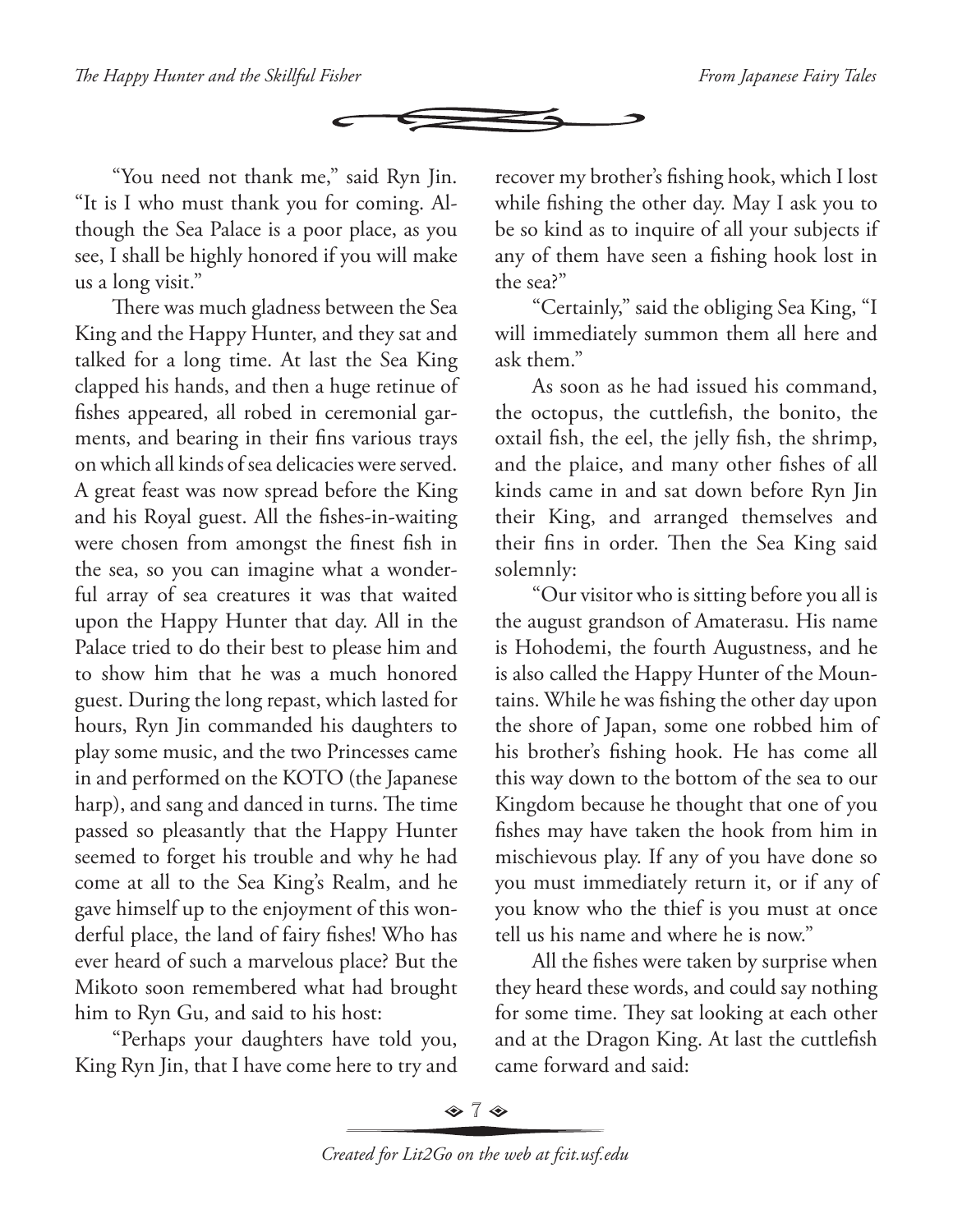

"You need not thank me," said Ryn Jin. "It is I who must thank you for coming. Although the Sea Palace is a poor place, as you see, I shall be highly honored if you will make us a long visit."

There was much gladness between the Sea King and the Happy Hunter, and they sat and talked for a long time. At last the Sea King clapped his hands, and then a huge retinue of fishes appeared, all robed in ceremonial garments, and bearing in their fins various trays on which all kinds of sea delicacies were served. A great feast was now spread before the King and his Royal guest. All the fishes-in-waiting were chosen from amongst the finest fish in the sea, so you can imagine what a wonderful array of sea creatures it was that waited upon the Happy Hunter that day. All in the Palace tried to do their best to please him and to show him that he was a much honored guest. During the long repast, which lasted for hours, Ryn Jin commanded his daughters to play some music, and the two Princesses came in and performed on the KOTO (the Japanese harp), and sang and danced in turns. The time passed so pleasantly that the Happy Hunter seemed to forget his trouble and why he had come at all to the Sea King's Realm, and he gave himself up to the enjoyment of this wonderful place, the land of fairy fishes! Who has ever heard of such a marvelous place? But the Mikoto soon remembered what had brought him to Ryn Gu, and said to his host:

"Perhaps your daughters have told you, King Ryn Jin, that I have come here to try and

recover my brother's fishing hook, which I lost while fishing the other day. May I ask you to be so kind as to inquire of all your subjects if any of them have seen a fishing hook lost in the sea?"

"Certainly," said the obliging Sea King, "I will immediately summon them all here and ask them."

As soon as he had issued his command, the octopus, the cuttlefish, the bonito, the oxtail fish, the eel, the jelly fish, the shrimp, and the plaice, and many other fishes of all kinds came in and sat down before Ryn Jin their King, and arranged themselves and their fins in order. Then the Sea King said solemnly:

"Our visitor who is sitting before you all is the august grandson of Amaterasu. His name is Hohodemi, the fourth Augustness, and he is also called the Happy Hunter of the Mountains. While he was fishing the other day upon the shore of Japan, some one robbed him of his brother's fishing hook. He has come all this way down to the bottom of the sea to our Kingdom because he thought that one of you fishes may have taken the hook from him in mischievous play. If any of you have done so you must immediately return it, or if any of you know who the thief is you must at once tell us his name and where he is now."

All the fishes were taken by surprise when they heard these words, and could say nothing for some time. They sat looking at each other and at the Dragon King. At last the cuttlefish came forward and said:

 $\diamond$  7  $\diamond$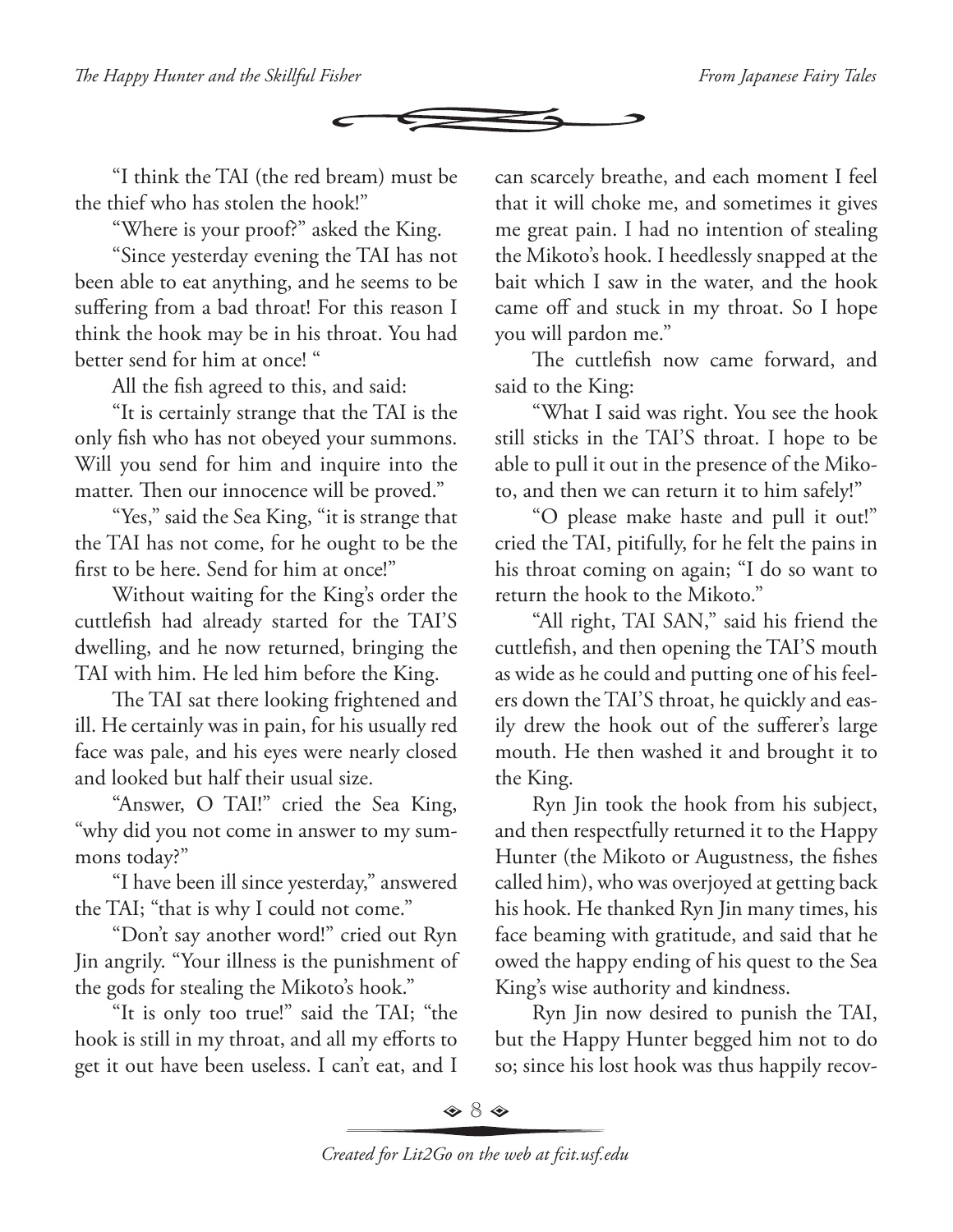

"I think the TAI (the red bream) must be the thief who has stolen the hook!"

"Where is your proof?" asked the King.

"Since yesterday evening the TAI has not been able to eat anything, and he seems to be suffering from a bad throat! For this reason I think the hook may be in his throat. You had better send for him at once! "

All the fish agreed to this, and said:

"It is certainly strange that the TAI is the only fish who has not obeyed your summons. Will you send for him and inquire into the matter. Then our innocence will be proved."

"Yes," said the Sea King, "it is strange that the TAI has not come, for he ought to be the first to be here. Send for him at once!"

Without waiting for the King's order the cuttlefish had already started for the TAI'S dwelling, and he now returned, bringing the TAI with him. He led him before the King.

The TAI sat there looking frightened and ill. He certainly was in pain, for his usually red face was pale, and his eyes were nearly closed and looked but half their usual size.

"Answer, O TAI!" cried the Sea King, "why did you not come in answer to my summons today?"

"I have been ill since yesterday," answered the TAI; "that is why I could not come."

"Don't say another word!" cried out Ryn Jin angrily. "Your illness is the punishment of the gods for stealing the Mikoto's hook."

"It is only too true!" said the TAI; "the hook is still in my throat, and all my efforts to get it out have been useless. I can't eat, and I

can scarcely breathe, and each moment I feel that it will choke me, and sometimes it gives me great pain. I had no intention of stealing the Mikoto's hook. I heedlessly snapped at the bait which I saw in the water, and the hook came off and stuck in my throat. So I hope you will pardon me."

The cuttlefish now came forward, and said to the King:

"What I said was right. You see the hook still sticks in the TAI'S throat. I hope to be able to pull it out in the presence of the Mikoto, and then we can return it to him safely!"

"O please make haste and pull it out!" cried the TAI, pitifully, for he felt the pains in his throat coming on again; "I do so want to return the hook to the Mikoto."

"All right, TAI SAN," said his friend the cuttlefish, and then opening the TAI'S mouth as wide as he could and putting one of his feelers down the TAI'S throat, he quickly and easily drew the hook out of the sufferer's large mouth. He then washed it and brought it to the King.

Ryn Jin took the hook from his subject, and then respectfully returned it to the Happy Hunter (the Mikoto or Augustness, the fishes called him), who was overjoyed at getting back his hook. He thanked Ryn Jin many times, his face beaming with gratitude, and said that he owed the happy ending of his quest to the Sea King's wise authority and kindness.

Ryn Jin now desired to punish the TAI, but the Happy Hunter begged him not to do so; since his lost hook was thus happily recov-

 $\Leftrightarrow 8 \Leftrightarrow$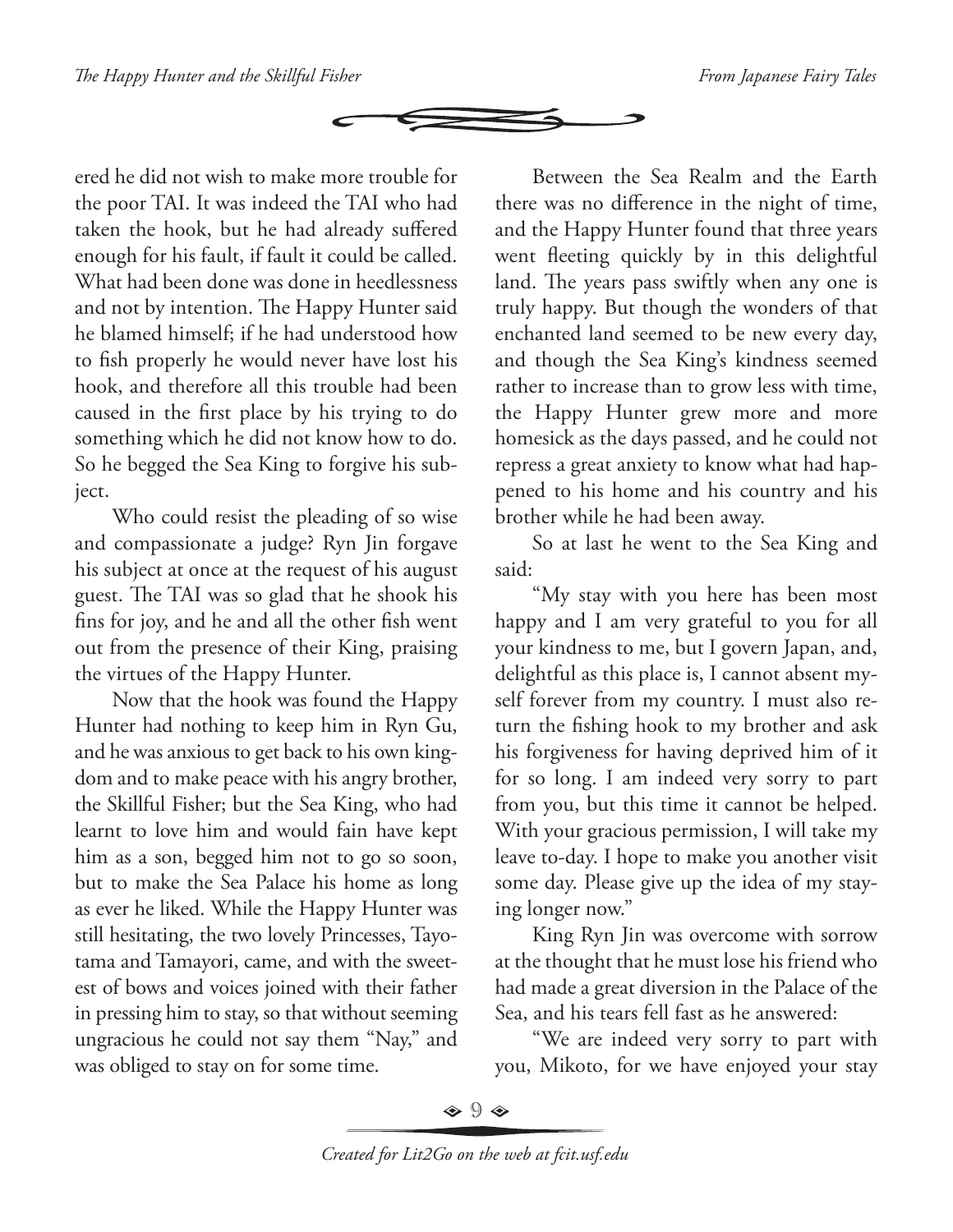

ered he did not wish to make more trouble for the poor TAI. It was indeed the TAI who had taken the hook, but he had already suffered enough for his fault, if fault it could be called. What had been done was done in heedlessness and not by intention. The Happy Hunter said he blamed himself; if he had understood how to fish properly he would never have lost his hook, and therefore all this trouble had been caused in the first place by his trying to do something which he did not know how to do. So he begged the Sea King to forgive his subject.

Who could resist the pleading of so wise and compassionate a judge? Ryn Jin forgave his subject at once at the request of his august guest. The TAI was so glad that he shook his fins for joy, and he and all the other fish went out from the presence of their King, praising the virtues of the Happy Hunter.

Now that the hook was found the Happy Hunter had nothing to keep him in Ryn Gu, and he was anxious to get back to his own kingdom and to make peace with his angry brother, the Skillful Fisher; but the Sea King, who had learnt to love him and would fain have kept him as a son, begged him not to go so soon, but to make the Sea Palace his home as long as ever he liked. While the Happy Hunter was still hesitating, the two lovely Princesses, Tayotama and Tamayori, came, and with the sweetest of bows and voices joined with their father in pressing him to stay, so that without seeming ungracious he could not say them "Nay," and was obliged to stay on for some time.

Between the Sea Realm and the Earth there was no difference in the night of time, and the Happy Hunter found that three years went fleeting quickly by in this delightful land. The years pass swiftly when any one is truly happy. But though the wonders of that enchanted land seemed to be new every day, and though the Sea King's kindness seemed rather to increase than to grow less with time, the Happy Hunter grew more and more homesick as the days passed, and he could not repress a great anxiety to know what had happened to his home and his country and his brother while he had been away.

So at last he went to the Sea King and said:

"My stay with you here has been most happy and I am very grateful to you for all your kindness to me, but I govern Japan, and, delightful as this place is, I cannot absent myself forever from my country. I must also return the fishing hook to my brother and ask his forgiveness for having deprived him of it for so long. I am indeed very sorry to part from you, but this time it cannot be helped. With your gracious permission, I will take my leave to-day. I hope to make you another visit some day. Please give up the idea of my staying longer now."

King Ryn Jin was overcome with sorrow at the thought that he must lose his friend who had made a great diversion in the Palace of the Sea, and his tears fell fast as he answered:

"We are indeed very sorry to part with you, Mikoto, for we have enjoyed your stay

 $\Leftrightarrow$  9  $\Leftrightarrow$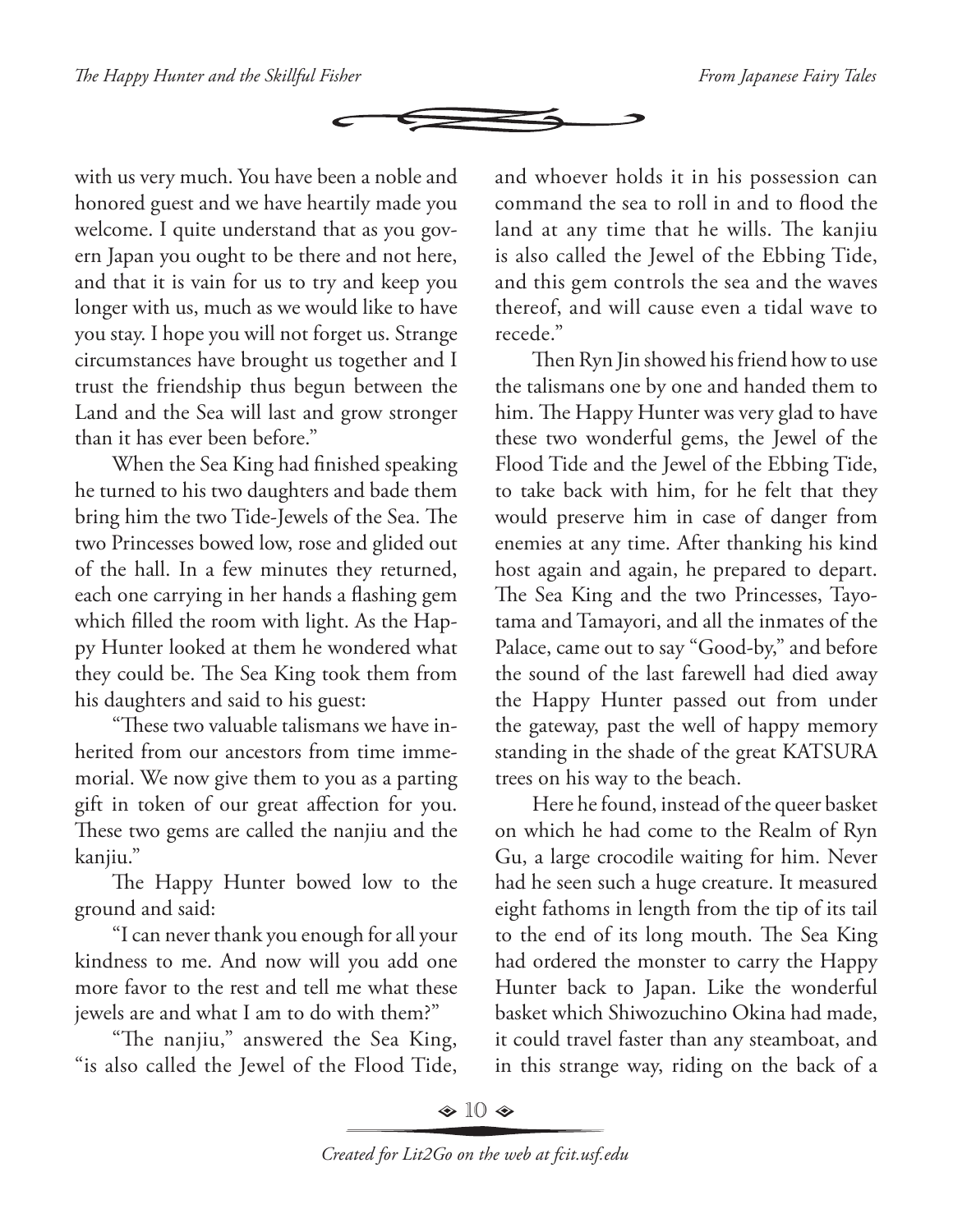

with us very much. You have been a noble and honored guest and we have heartily made you welcome. I quite understand that as you govern Japan you ought to be there and not here, and that it is vain for us to try and keep you longer with us, much as we would like to have you stay. I hope you will not forget us. Strange circumstances have brought us together and I trust the friendship thus begun between the Land and the Sea will last and grow stronger than it has ever been before."

When the Sea King had finished speaking he turned to his two daughters and bade them bring him the two Tide-Jewels of the Sea. The two Princesses bowed low, rose and glided out of the hall. In a few minutes they returned, each one carrying in her hands a flashing gem which filled the room with light. As the Happy Hunter looked at them he wondered what they could be. The Sea King took them from his daughters and said to his guest:

"These two valuable talismans we have inherited from our ancestors from time immemorial. We now give them to you as a parting gift in token of our great affection for you. These two gems are called the nanjiu and the kanjiu."

The Happy Hunter bowed low to the ground and said:

"I can never thank you enough for all your kindness to me. And now will you add one more favor to the rest and tell me what these jewels are and what I am to do with them?"

"The nanjiu," answered the Sea King, "is also called the Jewel of the Flood Tide,

and whoever holds it in his possession can command the sea to roll in and to flood the land at any time that he wills. The kanjiu is also called the Jewel of the Ebbing Tide, and this gem controls the sea and the waves thereof, and will cause even a tidal wave to recede."

Then Ryn Jin showed his friend how to use the talismans one by one and handed them to him. The Happy Hunter was very glad to have these two wonderful gems, the Jewel of the Flood Tide and the Jewel of the Ebbing Tide, to take back with him, for he felt that they would preserve him in case of danger from enemies at any time. After thanking his kind host again and again, he prepared to depart. The Sea King and the two Princesses, Tayotama and Tamayori, and all the inmates of the Palace, came out to say "Good-by," and before the sound of the last farewell had died away the Happy Hunter passed out from under the gateway, past the well of happy memory standing in the shade of the great KATSURA trees on his way to the beach.

Here he found, instead of the queer basket on which he had come to the Realm of Ryn Gu, a large crocodile waiting for him. Never had he seen such a huge creature. It measured eight fathoms in length from the tip of its tail to the end of its long mouth. The Sea King had ordered the monster to carry the Happy Hunter back to Japan. Like the wonderful basket which Shiwozuchino Okina had made, it could travel faster than any steamboat, and in this strange way, riding on the back of a

 $\textcircled{\tiny{\ast}}$  10  $\textcircled{\tiny{\ast}}$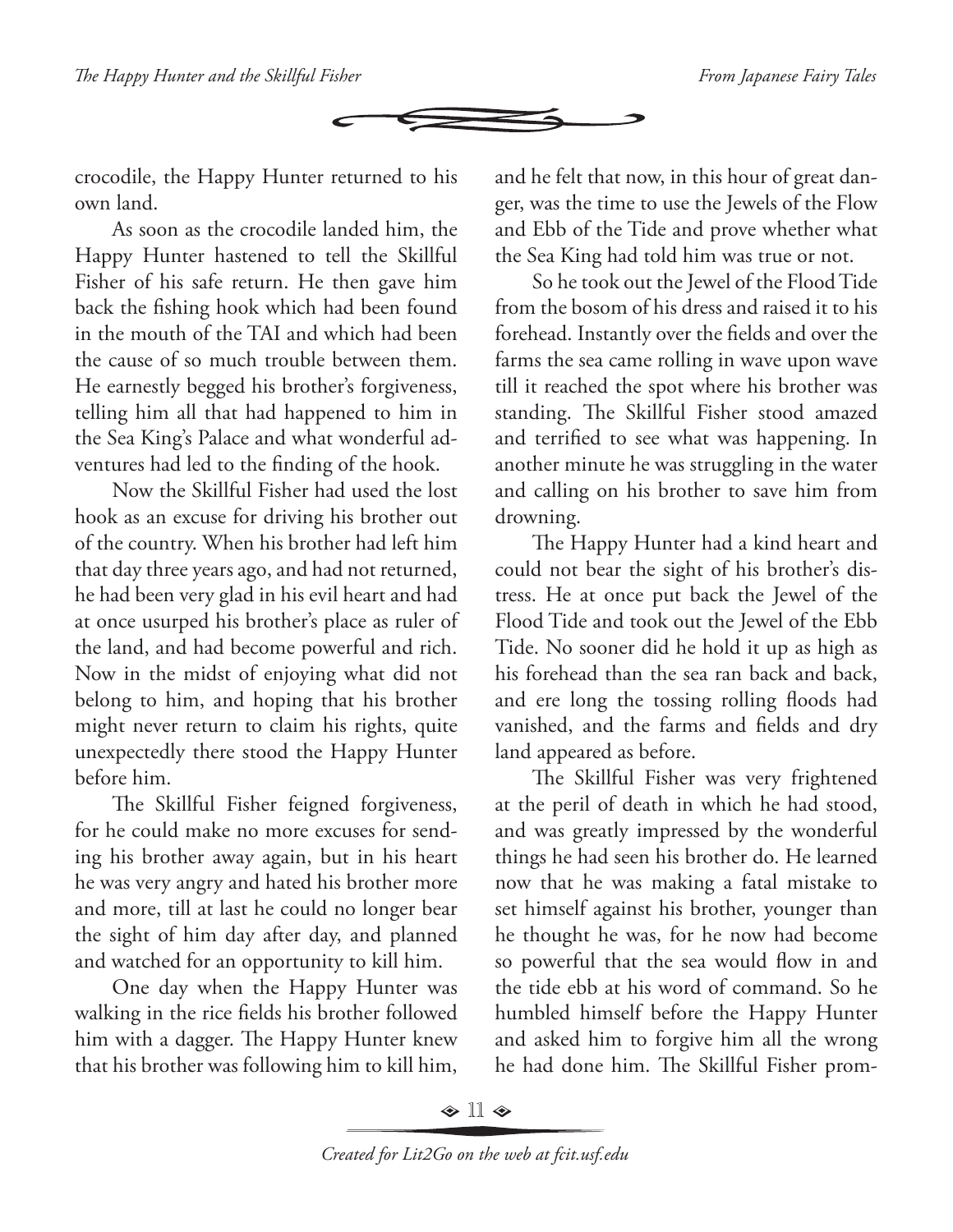

crocodile, the Happy Hunter returned to his own land.

As soon as the crocodile landed him, the Happy Hunter hastened to tell the Skillful Fisher of his safe return. He then gave him back the fishing hook which had been found in the mouth of the TAI and which had been the cause of so much trouble between them. He earnestly begged his brother's forgiveness, telling him all that had happened to him in the Sea King's Palace and what wonderful adventures had led to the finding of the hook.

Now the Skillful Fisher had used the lost hook as an excuse for driving his brother out of the country. When his brother had left him that day three years ago, and had not returned, he had been very glad in his evil heart and had at once usurped his brother's place as ruler of the land, and had become powerful and rich. Now in the midst of enjoying what did not belong to him, and hoping that his brother might never return to claim his rights, quite unexpectedly there stood the Happy Hunter before him.

The Skillful Fisher feigned forgiveness, for he could make no more excuses for sending his brother away again, but in his heart he was very angry and hated his brother more and more, till at last he could no longer bear the sight of him day after day, and planned and watched for an opportunity to kill him.

One day when the Happy Hunter was walking in the rice fields his brother followed him with a dagger. The Happy Hunter knew that his brother was following him to kill him,

and he felt that now, in this hour of great danger, was the time to use the Jewels of the Flow and Ebb of the Tide and prove whether what the Sea King had told him was true or not.

So he took out the Jewel of the Flood Tide from the bosom of his dress and raised it to his forehead. Instantly over the fields and over the farms the sea came rolling in wave upon wave till it reached the spot where his brother was standing. The Skillful Fisher stood amazed and terrified to see what was happening. In another minute he was struggling in the water and calling on his brother to save him from drowning.

The Happy Hunter had a kind heart and could not bear the sight of his brother's distress. He at once put back the Jewel of the Flood Tide and took out the Jewel of the Ebb Tide. No sooner did he hold it up as high as his forehead than the sea ran back and back, and ere long the tossing rolling floods had vanished, and the farms and fields and dry land appeared as before.

The Skillful Fisher was very frightened at the peril of death in which he had stood, and was greatly impressed by the wonderful things he had seen his brother do. He learned now that he was making a fatal mistake to set himself against his brother, younger than he thought he was, for he now had become so powerful that the sea would flow in and the tide ebb at his word of command. So he humbled himself before the Happy Hunter and asked him to forgive him all the wrong he had done him. The Skillful Fisher prom-

 $\bullet$  11  $\bullet$